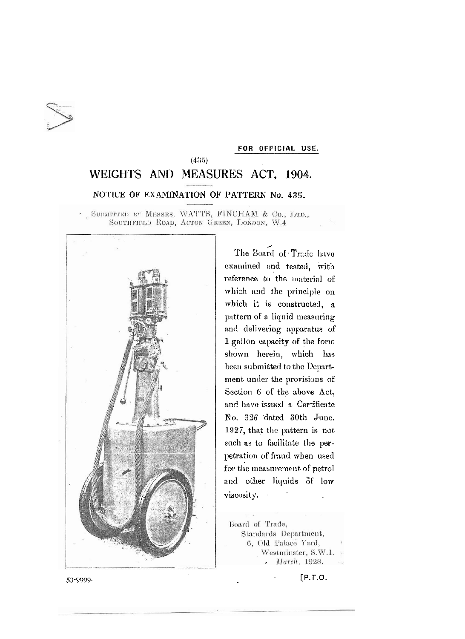

## FOR OFFICIAL USE.

## $(435)$ WEIGHTS AND MEASURES ACT, 1904. NOTICE OF EXAMINATION OF PATTERN No. 435.

. SUBMITTED BY MESSRS. WATTS, FINCHAM & Co., LTD., SOUTHFIELD ROAD, ACTON GREEN, LONDON, W.4



The Board of Trade have examined and tested, with reference to the material of which and the principle on which it is constructed, a pattern of a liquid measuring and delivering apparatus of 1 gallon capacity of the form shown herein, which has been submitted to the Department under the provisions of Section 6 of the above Act, and have issued a Certificate No. 326 dated 30th June. 1927, that the pattern is not such as to facilitate the perpetration of fraud when used for the measurement of petrol and other liquids of low viscosity.

Board of Trade, Standards Department, 6, Old Palace Yard, Westminster, S.W.1. - March, 1928.

 $[P.T.O.$ 

53-9999.